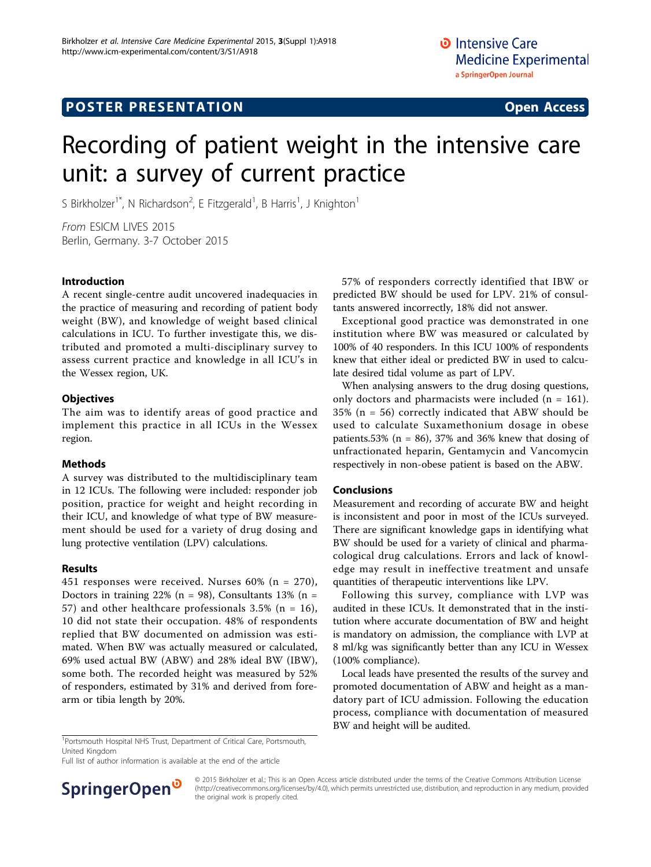# Recording of patient weight in the intensive care unit: a survey of current practice

S Birkholzer<sup>1\*</sup>, N Richardson<sup>2</sup>, E Fitzgerald<sup>1</sup>, B Harris<sup>1</sup>, J Knighton<sup>1</sup>

From ESICM LIVES 2015 Berlin, Germany. 3-7 October 2015

#### Introduction

A recent single-centre audit uncovered inadequacies in the practice of measuring and recording of patient body weight (BW), and knowledge of weight based clinical calculations in ICU. To further investigate this, we distributed and promoted a multi-disciplinary survey to assess current practice and knowledge in all ICU's in the Wessex region, UK.

#### **Objectives**

The aim was to identify areas of good practice and implement this practice in all ICUs in the Wessex region.

### Methods

A survey was distributed to the multidisciplinary team in 12 ICUs. The following were included: responder job position, practice for weight and height recording in their ICU, and knowledge of what type of BW measurement should be used for a variety of drug dosing and lung protective ventilation (LPV) calculations.

### Results

451 responses were received. Nurses 60% (n = 270), Doctors in training 22% ( $n = 98$ ), Consultants 13% ( $n =$ 57) and other healthcare professionals  $3.5\%$  (n = 16), 10 did not state their occupation. 48% of respondents replied that BW documented on admission was estimated. When BW was actually measured or calculated, 69% used actual BW (ABW) and 28% ideal BW (IBW), some both. The recorded height was measured by 52% of responders, estimated by 31% and derived from forearm or tibia length by 20%.

57% of responders correctly identified that IBW or predicted BW should be used for LPV. 21% of consultants answered incorrectly, 18% did not answer.

Exceptional good practice was demonstrated in one institution where BW was measured or calculated by 100% of 40 responders. In this ICU 100% of respondents knew that either ideal or predicted BW in used to calculate desired tidal volume as part of LPV.

When analysing answers to the drug dosing questions, only doctors and pharmacists were included ( $n = 161$ ). 35% (n = 56) correctly indicated that ABW should be used to calculate Suxamethonium dosage in obese patients.53% ( $n = 86$ ), 37% and 36% knew that dosing of unfractionated heparin, Gentamycin and Vancomycin respectively in non-obese patient is based on the ABW.

### Conclusions

Measurement and recording of accurate BW and height is inconsistent and poor in most of the ICUs surveyed. There are significant knowledge gaps in identifying what BW should be used for a variety of clinical and pharmacological drug calculations. Errors and lack of knowledge may result in ineffective treatment and unsafe quantities of therapeutic interventions like LPV.

Following this survey, compliance with LVP was audited in these ICUs. It demonstrated that in the institution where accurate documentation of BW and height is mandatory on admission, the compliance with LVP at 8 ml/kg was significantly better than any ICU in Wessex (100% compliance).

Local leads have presented the results of the survey and promoted documentation of ABW and height as a mandatory part of ICU admission. Following the education process, compliance with documentation of measured BW and height will be audited.

<sup>1</sup>Portsmouth Hospital NHS Trust, Department of Critical Care, Portsmouth, United Kingdom

Full list of author information is available at the end of the article



© 2015 Birkholzer et al.; This is an Open Access article distributed under the terms of the Creative Commons Attribution License [\(http://creativecommons.org/licenses/by/4.0](http://creativecommons.org/licenses/by/4.0)), which permits unrestricted use, distribution, and reproduction in any medium, provided the original work is properly cited.